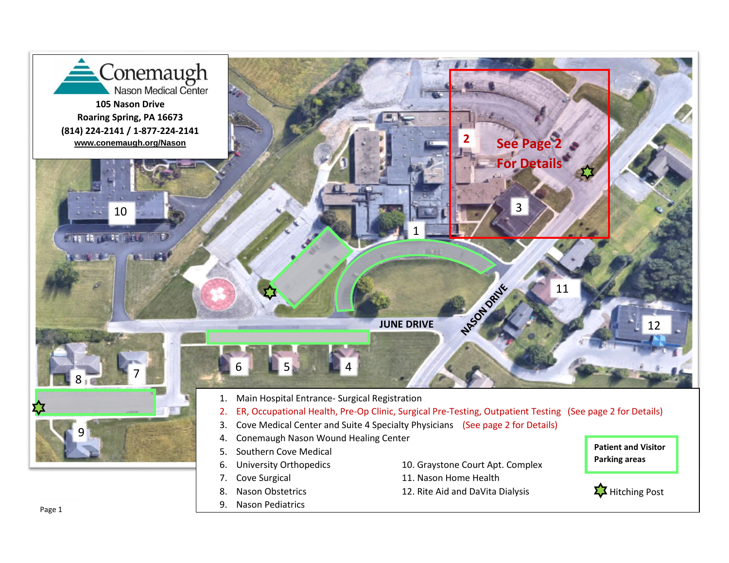